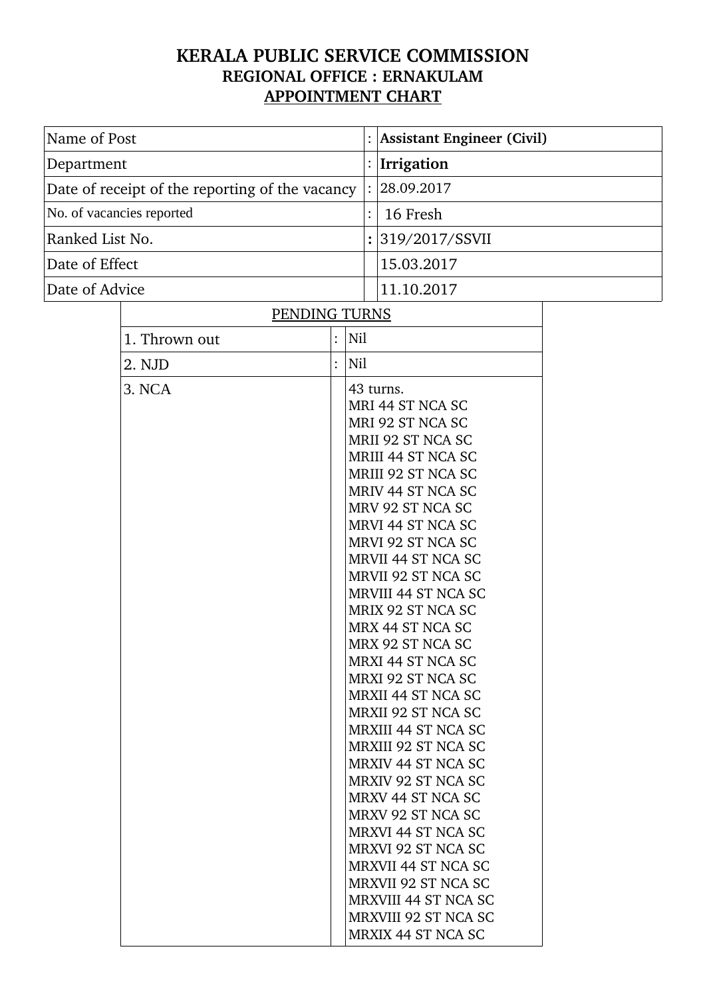## **KERALA PUBLIC SERVICE COMMISSION REGIONAL OFFICE : ERNAKULAM APPOINTMENT CHART**

| Name of Post                                    |                           |                    | <b>Assistant Engineer (Civil)</b> |                                       |                                                               |  |  |
|-------------------------------------------------|---------------------------|--------------------|-----------------------------------|---------------------------------------|---------------------------------------------------------------|--|--|
| Department                                      |                           |                    |                                   |                                       | Irrigation                                                    |  |  |
| Date of receipt of the reporting of the vacancy |                           |                    |                                   |                                       | 28.09.2017                                                    |  |  |
|                                                 | No. of vacancies reported |                    |                                   |                                       | 16 Fresh                                                      |  |  |
| Ranked List No.                                 |                           |                    |                                   |                                       | 319/2017/SSVII                                                |  |  |
| Date of Effect                                  |                           |                    |                                   |                                       | 15.03.2017                                                    |  |  |
| Date of Advice                                  |                           |                    |                                   |                                       | 11.10.2017                                                    |  |  |
|                                                 | PENDING TURNS             |                    |                                   |                                       |                                                               |  |  |
|                                                 | 1. Thrown out             | $\ddot{\cdot}$     | Nil                               |                                       |                                                               |  |  |
|                                                 | 2. NJD                    | $\ddot{\cdot}$     | Nil                               |                                       |                                                               |  |  |
|                                                 | 3. NCA                    |                    |                                   |                                       | 43 turns.                                                     |  |  |
|                                                 |                           |                    |                                   |                                       | MRI 44 ST NCA SC                                              |  |  |
|                                                 |                           |                    |                                   |                                       | MRI 92 ST NCA SC                                              |  |  |
|                                                 |                           |                    |                                   |                                       | MRII 92 ST NCA SC                                             |  |  |
|                                                 |                           |                    |                                   |                                       | MRIII 44 ST NCA SC<br>MRIII 92 ST NCA SC<br>MRIV 44 ST NCA SC |  |  |
|                                                 |                           |                    |                                   |                                       |                                                               |  |  |
|                                                 |                           |                    |                                   |                                       |                                                               |  |  |
|                                                 |                           |                    |                                   | MRV 92 ST NCA SC<br>MRVI 44 ST NCA SC |                                                               |  |  |
|                                                 |                           |                    |                                   | MRVI 92 ST NCA SC                     |                                                               |  |  |
|                                                 |                           |                    |                                   | <b>MRVII 44 ST NCA SC</b>             |                                                               |  |  |
|                                                 |                           | MRVII 92 ST NCA SC |                                   |                                       |                                                               |  |  |
|                                                 |                           |                    |                                   |                                       | <b>MRVIII 44 ST NCA SC</b>                                    |  |  |
|                                                 |                           |                    |                                   |                                       | MRIX 92 ST NCA SC                                             |  |  |
|                                                 |                           |                    |                                   |                                       | MRX 44 ST NCA SC                                              |  |  |
|                                                 |                           |                    |                                   |                                       | MRX 92 ST NCA SC                                              |  |  |
|                                                 |                           |                    |                                   |                                       | <b>MRXI 44 ST NCA SC</b>                                      |  |  |
|                                                 |                           |                    |                                   |                                       | MRXI 92 ST NCA SC                                             |  |  |
|                                                 |                           |                    |                                   |                                       | <b>MRXII 44 ST NCA SC</b>                                     |  |  |
|                                                 |                           |                    |                                   |                                       | MRXII 92 ST NCA SC<br><b>MRXIII 44 ST NCA SC</b>              |  |  |
|                                                 |                           |                    |                                   |                                       | MRXIII 92 ST NCA SC                                           |  |  |
|                                                 |                           |                    |                                   |                                       | <b>MRXIV 44 ST NCA SC</b>                                     |  |  |
|                                                 |                           |                    |                                   |                                       | <b>MRXIV 92 ST NCA SC</b>                                     |  |  |
|                                                 |                           |                    |                                   |                                       | MRXV 44 ST NCA SC                                             |  |  |
|                                                 |                           |                    |                                   |                                       | MRXV 92 ST NCA SC                                             |  |  |
|                                                 |                           |                    |                                   |                                       | <b>MRXVI 44 ST NCA SC</b>                                     |  |  |
|                                                 |                           |                    |                                   |                                       | MRXVI 92 ST NCA SC                                            |  |  |
|                                                 |                           |                    |                                   |                                       | <b>MRXVII 44 ST NCA SC</b>                                    |  |  |
|                                                 |                           |                    |                                   |                                       | <b>MRXVII 92 ST NCA SC</b>                                    |  |  |
|                                                 |                           |                    |                                   |                                       | <b>MRXVIII 44 ST NCA SC</b><br>MRXVIII 92 ST NCA SC           |  |  |
|                                                 |                           |                    |                                   |                                       | MRXIX 44 ST NCA SC                                            |  |  |
|                                                 |                           |                    |                                   |                                       |                                                               |  |  |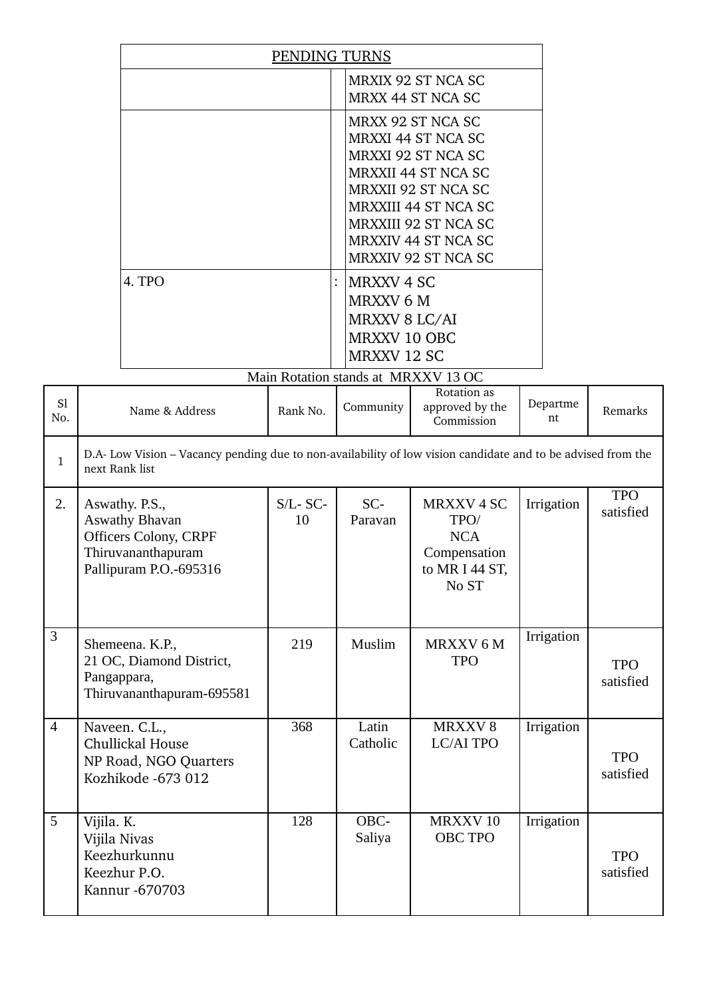| PENDING TURNS                       |                                                                                                                                                                                                                                                     |  |  |  |
|-------------------------------------|-----------------------------------------------------------------------------------------------------------------------------------------------------------------------------------------------------------------------------------------------------|--|--|--|
|                                     | MRXIX 92 ST NCA SC<br>MRXX 44 ST NCA SC                                                                                                                                                                                                             |  |  |  |
|                                     | MRXX 92 ST NCA SC<br>MRXXI 44 ST NCA SC<br>MRXXI 92 ST NCA SC<br><b>MRXXII 44 ST NCA SC</b><br><b>MRXXII 92 ST NCA SC</b><br><b>MRXXIII 44 ST NCA SC</b><br><b>MRXXIII 92 ST NCA SC</b><br><b>MRXXIV 44 ST NCA SC</b><br><b>MRXXIV 92 ST NCA SC</b> |  |  |  |
| 4. TPO                              | MRXXV 4 SC<br>MRXXV 6 M<br>MRXXV 8 LC/AI<br><b>MRXXV 10 OBC</b><br><b>MRXXV 12 SC</b>                                                                                                                                                               |  |  |  |
| Main Rotation stands at MRXXV 13 OC |                                                                                                                                                                                                                                                     |  |  |  |

| S1<br>No.      | Name & Address                                                                                                                 | Rank No.          | $\alpha$ . The common stands at the $\alpha$<br>Community | Rotation as<br>approved by the<br>Commission                                     | Departme<br>nt | Remarks                 |  |  |
|----------------|--------------------------------------------------------------------------------------------------------------------------------|-------------------|-----------------------------------------------------------|----------------------------------------------------------------------------------|----------------|-------------------------|--|--|
| $\mathbf{1}$   | D.A- Low Vision – Vacancy pending due to non-availability of low vision candidate and to be advised from the<br>next Rank list |                   |                                                           |                                                                                  |                |                         |  |  |
| 2.             | Aswathy. P.S.,<br><b>Aswathy Bhavan</b><br><b>Officers Colony, CRPF</b><br>Thiruvananthapuram<br>Pallipuram P.O.-695316        | $S/L$ - SC-<br>10 | $SC-$<br>Paravan                                          | <b>MRXXV4SC</b><br>TPO/<br><b>NCA</b><br>Compensation<br>to MR I 44 ST,<br>No ST | Irrigation     | <b>TPO</b><br>satisfied |  |  |
| $\mathbf{3}$   | Shemeena. K.P.,<br>21 OC, Diamond District,<br>Pangappara,<br>Thiruvananthapuram-695581                                        | 219               | Muslim                                                    | MRXXV 6 M<br><b>TPO</b>                                                          | Irrigation     | <b>TPO</b><br>satisfied |  |  |
| $\overline{4}$ | Naveen. C.L.,<br>Chullickal House<br>NP Road, NGO Quarters<br>Kozhikode -673 012                                               | 368               | Latin<br>Catholic                                         | MRXXV8<br><b>LC/AI TPO</b>                                                       | Irrigation     | <b>TPO</b><br>satisfied |  |  |
| 5              | Vijila. K.<br>Vijila Nivas<br>Keezhurkunnu<br>Keezhur P.O.<br>Kannur - 670703                                                  | 128               | OBC-<br>Saliya                                            | MRXXV <sub>10</sub><br><b>OBC TPO</b>                                            | Irrigation     | <b>TPO</b><br>satisfied |  |  |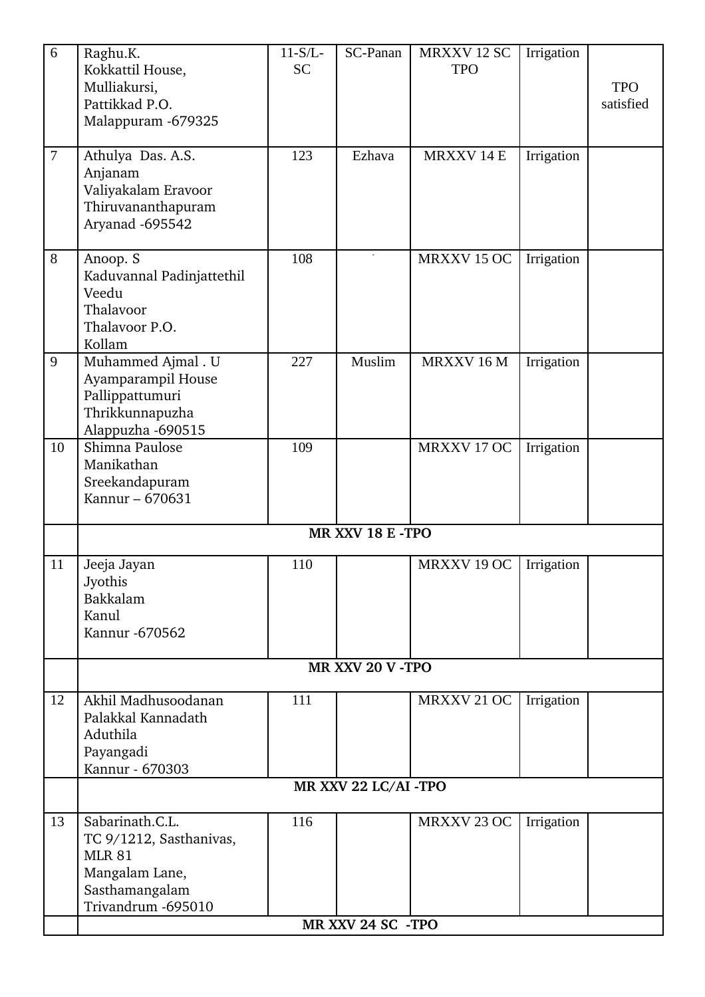| 6<br>$\overline{7}$ | Raghu.K.<br>Kokkattil House,<br>Mulliakursi,<br>Pattikkad P.O.<br>Malappuram -679325<br>Athulya Das. A.S.             | $11-S/L$ -<br><b>SC</b><br>123 | SC-Panan<br>Ezhava   | MRXXV 12 SC<br><b>TPO</b><br><b>MRXXV14E</b> | Irrigation<br>Irrigation | <b>TPO</b><br>satisfied |
|---------------------|-----------------------------------------------------------------------------------------------------------------------|--------------------------------|----------------------|----------------------------------------------|--------------------------|-------------------------|
|                     | Anjanam<br>Valiyakalam Eravoor<br>Thiruvananthapuram<br>Aryanad -695542                                               |                                |                      |                                              |                          |                         |
| 8                   | Anoop. S<br>Kaduvannal Padinjattethil<br>Veedu<br>Thalavoor<br>Thalavoor P.O.<br>Kollam                               | 108                            |                      | MRXXV 15 OC                                  | Irrigation               |                         |
| 9                   | Muhammed Ajmal . U<br>Ayamparampil House<br>Pallippattumuri<br>Thrikkunnapuzha<br>Alappuzha -690515                   | 227                            | Muslim               | MRXXV 16 M                                   | Irrigation               |                         |
| 10                  | Shimna Paulose<br>Manikathan<br>Sreekandapuram<br>Kannur - 670631                                                     | 109                            |                      | MRXXV 17 OC                                  | Irrigation               |                         |
|                     |                                                                                                                       |                                | MR XXV 18 E -TPO     |                                              |                          |                         |
| 11                  | Jeeja Jayan<br>Jyothis<br>Bakkalam<br>Kanul<br>Kannur - 670562                                                        | 110                            |                      | MRXXV 19 OC                                  | Irrigation               |                         |
|                     |                                                                                                                       |                                | MR XXV 20 V - TPO    |                                              |                          |                         |
| 12                  | Akhil Madhusoodanan<br>Palakkal Kannadath<br>Aduthila<br>Payangadi<br>Kannur - 670303                                 | 111                            |                      | MRXXV 21 OC                                  | Irrigation               |                         |
|                     |                                                                                                                       |                                | MR XXV 22 LC/AI -TPO |                                              |                          |                         |
| 13                  | Sabarinath.C.L.<br>TC 9/1212, Sasthanivas,<br><b>MLR 81</b><br>Mangalam Lane,<br>Sasthamangalam<br>Trivandrum -695010 | 116                            | MR XXV 24 SC -TPO    | MRXXV 23 OC                                  | Irrigation               |                         |